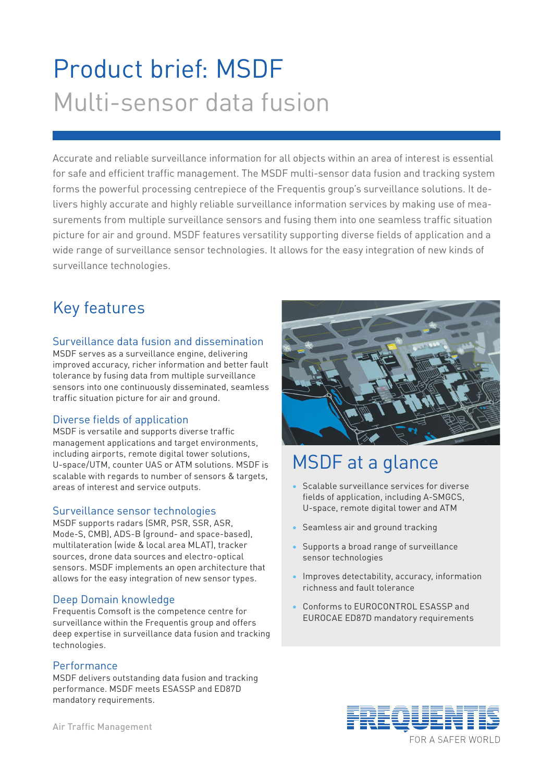# Product brief: MSDF Multi-sensor data fusion

Accurate and reliable surveillance information for all objects within an area of interest is essential for safe and efficient traffic management. The MSDF multi-sensor data fusion and tracking system forms the powerful processing centrepiece of the Frequentis group's surveillance solutions. It delivers highly accurate and highly reliable surveillance information services by making use of measurements from multiple surveillance sensors and fusing them into one seamless traffic situation picture for air and ground. MSDF features versatility supporting diverse fields of application and a wide range of surveillance sensor technologies. It allows for the easy integration of new kinds of surveillance technologies.

## Key features

### Surveillance data fusion and dissemination

MSDF serves as a surveillance engine, delivering improved accuracy, richer information and better fault tolerance by fusing data from multiple surveillance sensors into one continuously disseminated, seamless traffic situation picture for air and ground.

### Diverse fields of application

MSDF is versatile and supports diverse traffic management applications and target environments, including airports, remote digital tower solutions, U-space/UTM, counter UAS or ATM solutions. MSDF is scalable with regards to number of sensors & targets, areas of interest and service outputs.

### Surveillance sensor technologies

MSDF supports radars (SMR, PSR, SSR, ASR, Mode-S, CMB), ADS-B (ground- and space-based), multilateration (wide & local area MLAT), tracker sources, drone data sources and electro-optical sensors. MSDF implements an open architecture that allows for the easy integration of new sensor types.

### Deep Domain knowledge

Frequentis Comsoft is the competence centre for surveillance within the Frequentis group and offers deep expertise in surveillance data fusion and tracking technologies.

### **Performance**

MSDF delivers outstanding data fusion and tracking performance. MSDF meets ESASSP and ED87D mandatory requirements.



# MSDF at a glance

- Scalable surveillance services for diverse fields of application, including A-SMGCS, U-space, remote digital tower and ATM
- Seamless air and ground tracking
- Supports a broad range of surveillance sensor technologies
- Improves detectability, accuracy, information richness and fault tolerance
- Conforms to EUROCONTROL ESASSP and EUROCAE ED87D mandatory requirements



Air Traffic Management